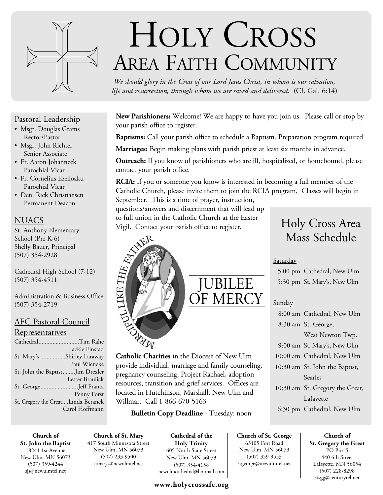

## Pastoral Leadership

- Msgr. Douglas Grams Rector/Pastor
- Msgr. John Richter Senior Associate
- Fr. Aaron Johanneck Parochial Vicar
- Fr. Cornelius Ezeiloaku Parochial Vicar
- Dcn. Rick Christiansen Permanent Deacon

## **NUACS**

St. Anthony Elementary School (Pre K-6) Shelly Bauer, Principal (507) 354-2928

Cathedral High School (7-12) (507) 354-4511

Administration & Business Office (507) 354-2719

## AFC Pastoral Council

## **Representatives**

| CathedralTim Rahe                  |                 |
|------------------------------------|-----------------|
|                                    | Jackie Finstad  |
| St. Mary's Shirley Laraway         |                 |
|                                    | Paul Wieneke    |
| St. John the BaptistJim Drexler    |                 |
|                                    | Lester Braulick |
| St. GeorgeJeff Franta              |                 |
|                                    | Penny Forst     |
| St. Gregory the GreatLinda Beranek |                 |
|                                    | Carol Hoffmann  |
|                                    |                 |

## HOLY CROSS AREA FAITH COMMUNITY

*We should glory in the Cross of our Lord Jesus Christ, in whom is our salvation, life and resurrection, through whom we are saved and delivered.* (Cf. Gal. 6:14)

**New Parishioners:** Welcome! We are happy to have you join us. Please call or stop by your parish office to register.

**Baptisms:** Call your parish office to schedule a Baptism. Preparation program required.

**Marriages:** Begin making plans with parish priest at least six months in advance.

**Outreach:** If you know of parishioners who are ill, hospitalized, or homebound, please contact your parish office.

**RCIA:** If you or someone you know is interested in becoming a full member of the Catholic Church, please invite them to join the RCIA program. Classes will begin in September. This is a time of prayer, instruction,

questions/answers and discernment that will lead up to full union in the Catholic Church at the Easter Vigil. Contact your parish office to register.

# JUBILEE OF MERCY

Catholic Charities in the Diocese of New Ulm provide individual, marriage and family counseling, pregnancy counseling, Project Rachael, adoption resources, transition and grief services. Offices are located in Hutchinson, Marshall, New Ulm and Willmar. Call 1-866-670-5163

**Bulletin Copy Deadline** - Tuesday: noon

## Holy Cross Area Mass Schedule

## Saturday

 5:00 pm Cathedral, New Ulm 5:30 pm St. Mary's, New Ulm

## Sunday

 8:00 am Cathedral, New Ulm 8:30 am St. George, West Newton Twp. 9:00 am St. Mary's, New Ulm 10:00 am Cathedral, New Ulm 10:30 am St. John the Baptist, Searles 10:30 am St. Gregory the Great, Lafayette 6:30 pm Cathedral, New Ulm

**Church of St. John the Baptist** 18241 1st Avenue New Ulm, MN 56073 (507) 359-4244 sjs@newulmtel.net

**Church of St. Mary** 417 South Minnesota Street New Ulm, MN 56073 (507) 233-9500 stmarys@newulmtel.net

**LIKE THE RAY** 

**Cathedral of the Holy Trinity** 605 North State Street New Ulm, MN 56073 (507) 354-4158 newulmcathedral@hotmail.com

## **www.holycrossafc.org**

**Church of St. George** 63105 Fort Road New Ulm, MN 56073 (507) 359-9553 stgeorge@newulmtel.net

**Church of St. Gregory the Great**  PO Box 5 440 6th Street Lafayette, MN 56054 (507) 228-8298 stsgg@centurytel.net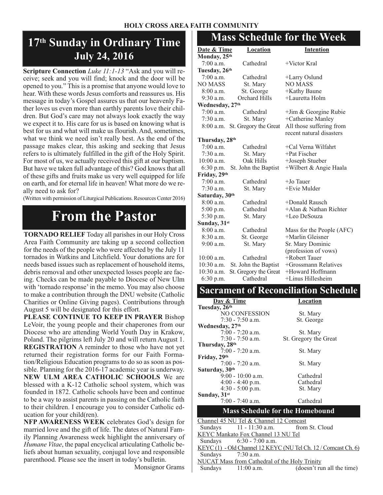### **HOLY CROSS AREA FAITH COMMUNITY**

## **17th Sunday in Ordinary Time July 24, 2016**

**Scripture Connection** *Luke 11:1-13* "Ask and you will receive; seek and you will find; knock and the door will be opened to you." This is a promise that anyone would love to hear. With these words Jesus comforts and reassures us. His message in today's Gospel assures us that our heavenly Father loves us even more than earthly parents love their children. But God's care may not always look exactly the way we expect it to. His care for us is based on knowing what is best for us and what will make us flourish. And, sometimes, what we think we need isn't really best. As the end of the passage makes clear, this asking and seeking that Jesus refers to is ultimately fulfilled in the gift of the Holy Spirit. For most of us, we actually received this gift at our baptism. But have we taken full advantage of this? God knows that all of these gifts and fruits make us very well equipped for life on earth, and for eternal life in heaven! What more do we really need to ask for?

(Written with permission of Liturgical Publications. Resources Center 2016)

## **From the Pastor**

**TORNADO RELIEF** Today all parishes in our Holy Cross Area Faith Community are taking up a second collection for the needs of the people who were affected by the July 11 tornados in Watkins and Litchfield. Your donations are for needs based issues such as replacement of household items, debris removal and other unexpected losses people are facing. Checks can be made payable to Diocese of New Ulm with 'tornado response' in the memo. You may also choose to make a contribution through the DNU website (Catholic Charities or Online Giving pages). Contributions through August 5 will be designated for this effort.

**PLEASE CONTINUE TO KEEP IN PRAYER** Bishop LeVoir, the young people and their chaperones from our Diocese who are attending World Youth Day in Krakow, Poland. The pilgrims left July 20 and will return August 1. **REGISTRATION** A reminder to those who have not yet returned their registration forms for our Faith Formation/Religious Education programs to do so as soon as possible. Planning for the 2016-17 academic year is underway. **NEW ULM AREA CATHOLIC SCHOOLS** We are blessed with a K-12 Catholic school system, which was founded in 1872. Catholic schools have been and continue to be a way to assist parents in passing on the Catholic faith to their children. I encourage you to consider Catholic education for your child(ren).

**NFP AWARENESS WEEK** celebrates God's design for married love and the gift of life. The dates of Natural Family Planning Awareness week highlight the anniversary of *Humane Vitae*, the papal encyclical articulating Catholic beliefs about human sexuality, conjugal love and responsible parenthood. Please see the insert in today's bulletin.

Monsignor Grams

## **Mass Schedule for the Week**

| <u>Date &amp; Time</u>     | Location                     | <b>Intention</b>                                     |  |
|----------------------------|------------------------------|------------------------------------------------------|--|
| Monday, 25th               |                              |                                                      |  |
| $7:00$ a.m.                | Cathedral<br>$+$ Victor Kral |                                                      |  |
| Tuesday, 26th              |                              |                                                      |  |
| $7:00$ a.m.                | Cathedral                    | +Larry Oslund                                        |  |
| <b>NO MASS</b>             | St. Mary                     | <b>NO MASS</b>                                       |  |
| $8:00$ a.m.                | St. George                   | +Kathy Baune                                         |  |
| $9:30$ a.m.                | Orchard Hills                | +Lauretta Holm                                       |  |
| Wednesday, 27th            |                              |                                                      |  |
| $7:00$ a.m.                | Cathedral                    | +Jim & Georgine Rubie                                |  |
| $7:30$ a.m.                | St. Mary                     | +Catherine Manley                                    |  |
| 8:00 a.m.                  | St. Gregory the Great        | All those suffering from<br>recent natural disasters |  |
| Thursday, 28th             |                              |                                                      |  |
| $7:00$ a.m.                | Cathedral                    | +Cal Verna Wilfahrt                                  |  |
| $7:30$ a.m.                | St. Mary                     | $+$ Pat Fischer                                      |  |
| $10:00$ a.m.               | Oak Hills                    | +Joseph Stueber                                      |  |
| 6:30 p.m.                  | St. John the Baptist         | +Wilbert & Angie Haala                               |  |
| Friday, 29th               |                              |                                                      |  |
| $7:00$ a.m.                | Cathedral                    | $+$ Jo Tauer                                         |  |
| 7:30 a.m.                  | St. Mary                     | +Evie Mulder                                         |  |
| Saturday, 30 <sup>th</sup> |                              |                                                      |  |
| 8:00 a.m.                  | Cathedral                    | +Donald Rausch                                       |  |
| 5:00 p.m.                  | Cathedral                    | +Alan & Nathan Richter                               |  |
| 5:30 p.m.                  | St. Mary                     | +Leo DeSouza                                         |  |
| Sunday, 31st               |                              |                                                      |  |
| $8:00$ a.m.                | Cathedral                    | Mass for the People (AFC)                            |  |
| $8:30$ a.m.                | St. George                   | +Marlin Gleisner                                     |  |
| $9:00$ a.m.                | St. Mary                     | Sr. Mary Dominic                                     |  |
|                            |                              | (profession of vows)                                 |  |
| $10:00$ a.m.               | Cathedral                    | +Robert Tauer                                        |  |
| $10:30$ a.m.               | St. John the Baptist         | +Grossmann Relatives                                 |  |
| $10:30$ a.m.               | St. Gregory the Great        | +Howard Hoffmann                                     |  |
| 6:30 p.m.                  | Cathedral                    | +Linus Hillesheim                                    |  |
| $\sim$                     |                              | п                                                    |  |

| Day & Time                                    | <b>Location</b>                                               |  |
|-----------------------------------------------|---------------------------------------------------------------|--|
| Tuesday, 26th                                 |                                                               |  |
| NO CONFESSION                                 | St. Mary                                                      |  |
| 7:30 - 7:50 a.m.                              | St. George                                                    |  |
| Wednesday, 27 <sup>th</sup>                   |                                                               |  |
| $7:00 - 7:20$ a.m.                            | St. Mary                                                      |  |
| $7:30 - 7:50$ a.m.                            | St. Gregory the Great                                         |  |
| Thursday, 28 <sup>th</sup>                    |                                                               |  |
| $7:00 - 7:20$ a.m.                            | St. Mary                                                      |  |
| Friday, 29th                                  |                                                               |  |
| $7:00 - 7:20$ a.m.                            | St. Mary                                                      |  |
| Saturday, 30 <sup>th</sup>                    |                                                               |  |
| $9:00 - 10:00$ a.m.                           | Cathedral                                                     |  |
| $4:00 - 4:40$ p.m.                            | Cathedral                                                     |  |
| $4:30 - 5:00$ p.m.<br>St. Mary                |                                                               |  |
| Sunday, $31st$                                |                                                               |  |
| $7:00 - 7:40$ a.m.                            | Cathedral                                                     |  |
|                                               | <b>Mass Schedule for the Homebound</b>                        |  |
| Channel 45 NU Tel & Channel 12 Comcast        |                                                               |  |
| $11 - 11:30$ a.m.<br>Sundays                  | from St. Cloud                                                |  |
| KEYC Mankato Fox Channel 13 NU Tel            |                                                               |  |
| $6:30 - 7:00$ a.m.<br>Sundays                 |                                                               |  |
|                                               | KEYC(1) - Old Channel 12 KEYC (NU Tel Ch. 12 / Comcast Ch. 6) |  |
| Sundays<br>$7:30$ a.m.                        |                                                               |  |
| NUCAT Mass from Cathedral of the Holy Trinity |                                                               |  |
| Sundays<br>$11:00$ a.m.                       | (doesn't run all the time)                                    |  |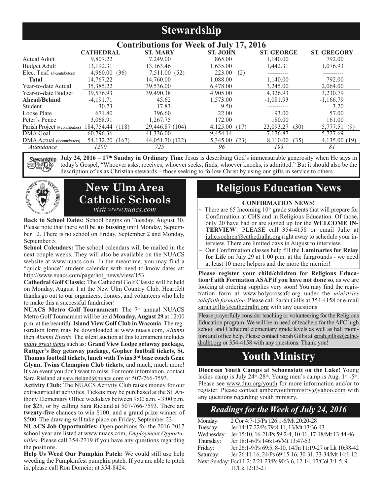## **Stewardship**

|                                   |                  | <b>Contributions for Week of July 17, 2016</b> |                  |                   |                    |
|-----------------------------------|------------------|------------------------------------------------|------------------|-------------------|--------------------|
|                                   | <b>CATHEDRAL</b> | <b>ST. MARY</b>                                | <b>ST. JOHN</b>  | <b>ST. GEORGE</b> | <b>ST. GREGORY</b> |
| Actual Adult                      | 9,807.22         | 7,249.00                                       | 865.00           | 1.140.00          | 792.00             |
| <b>Budget Adult</b>               | 13,192.31        | 13,163.46                                      | 1,635.00         | 1,442.31          | 1,076.93           |
| Elec. Tnsf. (#contributors)       | 4,960.00(36)     | 7,511.00 (52)                                  | 223.00<br>(2)    |                   |                    |
| <b>Total</b>                      | 14,767.22        | 14,760.00                                      | 1.088.00         | 1,140.00          | 792.00             |
| Year-to-date Actual               | 35,385.22        | 39,536.00                                      | 6.478.00         | 3.245.00          | 2,064.00           |
| Year-to-date Budget               | 39,576.93        | 39,490.38                                      | 4,905.00         | 4.326.93          | 3.230.79           |
| Ahead/Behind                      | $-4,191.71$      | 45.62                                          | 1,573.00         | $-1,081.93$       | $-1,166.79$        |
| Student                           | 30.73            | 17.83                                          | 9.50             |                   | 3.20               |
| Loose Plate                       | 671.80           | 396.60                                         | 22.00            | 93.00             | 57.00              |
| Peter's Pence                     | 3.068.91         | 1.267.75                                       | 172.00           | 180.00            | 161.00             |
| Parish Project (#contributors)    | 184,754.44 (118) | 29,446.87 (104)                                | 4,125.00<br>(17) | 23,093.27<br>(30) | 5,777.51 (9)       |
| <b>DMA</b> Goal                   | 60.796.36        | 41,336.00                                      | 9.454.14         | 7.176.87          | 5,727.69           |
| $\rm DMA$ Actual (# contributors) | 54,132.20 (167)  | 44,051.70 (122)                                | 5,345.00<br>(23) | 8.110.00<br>(35)  | 4,135.00 (19)      |
| <i>Attendance</i>                 | 1200             | 725                                            | 96               | 193               | 81                 |

**July 24, 2016 – 17th Sunday in Ordinary Time** Jesus is describing God's immeasurable generosity when He says in rdchip today's Gospel, "Whoever asks, receives; whoever seeks, finds; whoever knocks, is admitted." But it should also be the description of us as Christian stewards – those seeking to follow Christ by using our gifts in service to others.



## **New Ulm Area Catholic Schools** *visit www.nuacs.com*

**Back to School Dates:** School begins on Tuesday, August 30. Please note that there will be **no bussing** until Monday, September 12. There is no school on Friday, September 2 and Monday, September 5.

**School Calendars:** The school calendars will be mailed in the next couple weeks. They will also be available on the NUACS website at www.nuacs.com. In the meantime, you may find a "quick glance" student calendar with need-to-know dates at: http://www.nuacs.com/page/hot\_news/view/153.

**Cathedral Golf Classic:** The Cathedral Golf Classic will be held on Monday, August 1 at the New Ulm Country Club. Heartfelt thanks go out to our organizers, donors, and volunteers who help to make this a successful fundraiser!

**NUACS Metro Golf Tournament:** The 7<sup>th</sup> annual NUACS Metro Golf Tournament will be held **Monday, August 29** at 12:00 p.m. at the beautiful **Island View Golf Club in Waconia**. The registration form may be downloaded at www.nuacs.com, *Alumni* then *Alumni Events*. The silent auction at this tournament includes *many great items* such as: **Grand View Lodge getaway package, Ruttger's Bay getaway package, Gopher football tickets, St. Thomas football tickets, lunch with Twins 3rd base coach Gene Glynn, Twins Champion Club tickets**, and much, much more! It's an event you don't want to miss. For more information, contact Sara Rieland at sara.rieland@nuacs.com or 507-766-7593.

**Activity Club:** The NUACS Activity Club raises money for our extracurricular activities. Tickets may be purchased at the St. Anthony Elementary Office weekdays between 9:00 a.m. - 3:00 p.m. for \$25, or by calling Sara Rieland at 507-766-7593. There are **twenty-five** chances to win \$100, and a grand prize winner of \$500. The drawing will take place on Friday, September 23.

**NUACS Job Opportunities:** Open positions for the 2016-2017 school year are listed at www.nuacs.com, *Employment Opportunities*. Please call 354-2719 if you have any questions regarding the positions.

**Help Us Weed Our Pumpkin Patch:** We could still use help weeding the Pumpkinfest pumpkin patch. If you are able to pitch in, please call Ron Domeier at 354-8424.

## **Religious Education News**

#### **CONFIRMATION NEWS!**

- There are 65 Incoming 10<sup>th</sup> grade students that will prepare for Confirmation at CHS and in Religious Education. Of those, only 20 have had or are signed up for the **WELCOME IN-TERVIEW**! PLEASE call 354-4158 or email Julie at julie.soehren@cathedralht.org right away to schedule your interview. There are limited days in August to interview.
- ~ Our Confirmation classes help fill the **Luminaries for Relay for Life** on July 29 at 1:00 p.m. at the fairgrounds - we need at least 10 more helpers and the more the merrier!

**Please register your child/children for Religious Education/Faith Formation ASAP if you have not done so**, as we are looking at ordering supplies very soon! You may find the registration form at www.holycrossafc.org under the *ministries tab/faith formation*. Please call Sarah Gillis at 354-4158 or e-mail sarah.gillis@cathedralht.org with any questions.

Please prayerfully consider teaching or volunteering for the Religious Education program. We will be in need of teachers for the AFC high school and Cathedral elementary grade levels as well as hall monitors and office help. Please contact Sarah Gillis at sarah.gillis@cathedralht.org or 354-4158 with any questions. Thank you!

## **Youth Ministry**

**Diocesan Youth Camps at Schoenstatt on the Lake!** Young ladies camp is July 24<sup>th</sup>-28<sup>th</sup>. Young men's camp is Aug. 1<sup>st</sup> -5<sup>th</sup>. Please see www.dnu.org/youth for more information and/or to register. Please contact amberyouthministry@yahoo.com with any questions regarding youth ministry.

## *Readings for the Week of July 24, 2016*

| Monday:    | 2 Cor 4:7-15/Ps 126:1-6/Mt 20:20-28                               |
|------------|-------------------------------------------------------------------|
| Tuesday:   | Jer 14:17-22/Ps 79:8-11, 13/Mt 13:36-43                           |
| Wednesday: | Jer 15:10, 16-21/Ps 59:2-4, 10-11, 17-18/Mt 13:44-46              |
| Thursday:  | Jer 18:1-6/Ps 146:1-6/Mt 13:47-53                                 |
| Friday:    | Jer 26:1-9/Ps 69:5, 8-10, 14/Jn 11:19-27 or Lk 10:38-42           |
| Saturday:  | Jer 26:11-16, 24/Ps 69:15-16, 30-31, 33-34/Mt 14:1-12             |
|            | Next Sunday: Eccl 1:2; 2:21-23/Ps 90:3-6, 12-14, 17/Col 3:1-5, 9- |
|            | 11/Lk 12:13-21                                                    |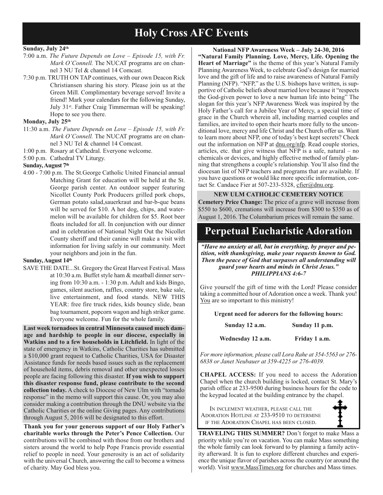## **Holy Cross AFC Events**

#### **Sunday, July 24th**

- 7:00 a.m. *The Future Depends on Love Episode 15, with Fr. Mark O'Connell.* The NUCAT programs are on channel 3 NU Tel & channel 14 Comcast.
- 7:30 p.m. TRUTH ON TAP continues, with our own Deacon Rick Christiansen sharing his story. Please join us at the Green Mill. Complimentary beverage served! Invite a friend! Mark your calendars for the following Sunday, July 31st. Father Craig Timmerman will be speaking! Hope to see you there.

#### **Monday, July 25th**

- 11:30 a.m. *The Future Depends on Love Episode 15, with Fr. Mark O'Connell.* The NUCAT programs are on channel 3 NU Tel & channel 14 Comcast.
- 1:00 p.m. Rosary at Cathedral. Everyone welcome.
- 5:00 p.m. Cathedral TV Liturgy.

#### **Sunday, August 7th**

4:00 - 7:00 p.m. The St.George Catholic United Financial annual Matching Grant for education will be held at the St. George parish center. An outdoor supper featuring Nicollet County Pork Producers grilled pork chops, German potato salad,sauerkraut and bar-b-que beans will be served for \$10. A hot dog, chips, and watermelon will be available for children for \$5. Root beer floats included for all. In conjunction with our dinner and in celebration of National Night Out the Nicollet County sheriff and their canine will make a visit with information for living safely in our community. Meet your neighbors and join in the fun.

#### Sunday, August 14<sup>th</sup>

SAVE THE DATE...St. Gregory the Great Harvest Festival. Mass at 10:30 a.m. Buffet style ham & meatball dinner serving from 10:30 a.m. - 1:30 p.m. Adult and kids Bingo, games, silent auction, raffles, country store, bake sale, live entertainment, and food stands. NEW THIS YEAR: free fire truck rides, kids bouncy slide, bean bag tournament, popcorn wagon and high striker game. Everyone welcome. Fun for the whole family.

**Last week tornadoes in central Minnesota caused much damage and hardship to people in our diocese, especially in Watkins and to a few households in Litchfield.** In light of the state of emergency in Watkins, Catholic Charities has submitted a \$10,000 grant request to Catholic Charities, USA for Disaster Assistance funds for needs based issues such as the replacement of household items, debris removal and other unexpected losses people are facing following this disaster. **If you wish to support this disaster response fund, please contribute to the second collection today.** A check to Diocese of New Ulm with "tornado response" in the memo will support this cause. Or, you may also consider making a contribution through the DNU website via the Catholic Charities or the online Giving pages. Any contributions through August 5, 2016 will be designated to this effort.

**Thank you for your generous support of our Holy Father's charitable works through the Peter's Pence Collection.** Our contributions will be combined with those from our brothers and sisters around the world to help Pope Francis provide essential relief to people in need. Your generosity is an act of solidarity with the universal Church, answering the call to become a witness of charity. May God bless you.

**National NFP Awareness Week – July 24-30, 2016 "Natural Family Planning. Love, Mercy, Life. Opening the Heart of Marriage"** is the theme of this year's Natural Family Planning Awareness Week, to celebrate God's design for married love and the gift of life and to raise awareness of Natural Family Planning (NFP). "NFP," as the U.S. bishops have written, is supportive of Catholic beliefs about married love because it "respects the God-given power to love a new human life into being" The slogan for this year's NFP Awareness Week was inspired by the Holy Father's call for a Jubilee Year of Mercy, a special time of grace in the Church wherein all, including married couples and families, are invited to open their hearts more fully to the unconditional love, mercy and life Christ and the Church offer us. Want to learn more about NFP, one of today's best kept secrets? Check out the information on NFP at dnu.org/nfp. Read couple stories, articles, etc. that give witness that NFP is a safe, natural – no chemicals or devices, and highly effective method of family planning that strengthens a couple's relationship. You'll also find the diocesan list of NFP teachers and programs that are available. If you have questions or would like more specific information, contact Sr. Candace Fier at 507-233-5328, cfier@dnu.org.

#### **NEW ULM CATHOLIC CEMETERY NOTICE**

**Cemetery Price Change:** The price of a grave will increase from \$550 to \$600, cremations will increase from \$300 to \$350 as of August 1, 2016. The Columbarium prices will remain the same.

## **Perpetual Eucharistic Adoration**

*"Have no anxiety at all, but in everything, by prayer and petition, with thanksgiving, make your requests known to God. Then the peace of God that surpasses all understanding will guard your hearts and minds in Christ Jesus." PHILIPPIANS 4:6-7*

Give yourself the gift of time with the Lord! Please consider taking a committed hour of Adoration once a week. Thank you! You are so important to this ministry!

**Urgent need for adorers for the following hours:**

| Sunday 12 a.m. | Sunday 11 p.m. |
|----------------|----------------|
|----------------|----------------|

**Wednesday 12 a.m. Friday 1 a.m.**

*For more information, please call Lora Rahe at 354-5563 or 276- 6838 or Janet Neubauer at 359-4225 or 276-4039.*

**CHAPEL ACCESS:** If you need to access the Adoration Chapel when the church building is locked, contact St. Mary's parish office at 233-9500 during business hours for the code to the keypad located at the building entrance by the chapel.

IN INCLEMENT WEATHER, PLEASE CALL THE ADORATION HOTLINE AT 233-9510 TO DETERMINE IF THE ADORATION CHAPEL HAS BEEN CLOSED.

**TRAVELING THIS SUMMER?** Don't forget to make Mass a priority while you're on vacation. You can make Mass something the whole family can look forward to by planning a family activity afterward. It is fun to explore different churches and experience the unique flavor of parishes across the country (or around the world). Visit www.MassTimes.org for churches and Mass times.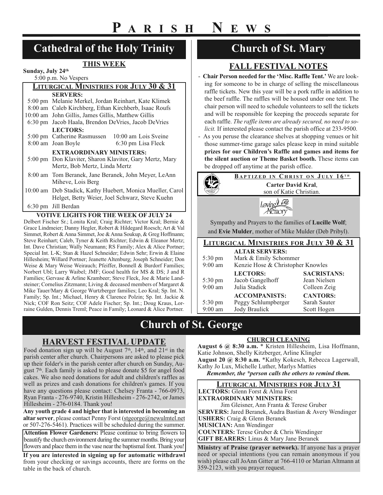## **Cathedral of the Holy Trinity**

### **THIS WEEK**

**Sunday, July 24th** 5:00 p.m. No Vespers

## **LITURGICAL MINISTRIES FOR JULY 30 & 31 SERVERS:**

| 5:00 pm Melanie Merkel, Jordan Reinhart, Kate Klimek    |                                                            |
|---------------------------------------------------------|------------------------------------------------------------|
| 8:00 am Caleb Kirchberg, Ethan Kirchberb, Isaac Roufs   |                                                            |
| 10:00 am John Gillis, James Gillis, Matthew Gillis      |                                                            |
| 6:30 pm Jacob Haala, Brendon DeVries, Jacob DeVries     |                                                            |
| <b>LECTORS:</b>                                         |                                                            |
| 5:00 pm Catherine Rasmussen                             | 10:00 am Lois Sveine                                       |
| 8:00 am Joan Boyle                                      | 6:30 pm Lisa Fleck                                         |
| <b>EXTRAORDINARY MINISTERS:</b>                         |                                                            |
| 5:00 pm Don Klaviter, Sharon Klavitor, Gary Mertz, Mary |                                                            |
| Mertz, Bob Mertz, Linda Mertz                           |                                                            |
|                                                         | 8:00 am Tom Beranek, Jane Beranek, John Meyer, LeAnn       |
| Miheve, Lois Berg                                       |                                                            |
|                                                         | 10:00 am Deb Stadick, Kathy Huebert, Monica Mueller, Carol |
|                                                         | Helget, Betty Weier, Joel Schwarz, Steve Kuehn             |
| 6:30 pm Jill Berdan                                     |                                                            |

#### **VOTIVE LIGHTS FOR THE WEEK OF JULY 24**

Delbert Fischer Sr.; Lonita Kral; Craig Richter; Victor Kral; Bernie & Grace Lindmeier; Danny Hegler, Robert & Hildegard Roesch; Art & Val Simmet, Robert & Anna Simmet, Joe & Anna Soukup, & Greg Hoffmann; Steve Reinhart; Caleb, Tyner & Keith Richter; Edwin & Eleanor Mertz; Int. Dave Christian; Wally Neumann; RS Family; Alex & Alice Portner; Special Int. L-K; Stan & Hazel Schneider; Edwin Sehr; Erwin & Elaine Hillesheim; Willard Portner; Jeanette Altenburg; Joseph Schneider; Don Weise & Mary Weise Weirauch; Pfeiffer, Bonnell & Burdorf Families; Norbert Ubl; Larry Waibel; JMF; Good health for MS & DS; J and R Families; Gervase & Arline Krambeer; Steve Fleck, Joe & Marie Landsteiner; Cornelius Zitzmann; Living & deceased members of Margaret & Mike Tauer/Mary & George Wurtzberger families; Leo Kral; Sp. Int. N. Family; Sp. Int.; Michael, Henry & Clarence Polzin; Sp. Int. Jackie & Nick; COF Ron Seitz; COF Adele Fischer; Sp. Int.; Doug Kraus, Lorraine Gulden, Dennis Treml; Peace in Family; Leonard & Alice Portner.

## **Church of St. Mary**

## **FALL FESTIVAL NOTES**

- **Chair Person needed for the 'Misc. Raffle Tent.'** We are looking for someone to be in charge of selling the miscellaneous raffle tickets. New this year will be a pork raffle in addition to the beef raffle. The raffles will be housed under one tent. The chair person will need to schedule volunteers to sell the tickets and will be responsible for keeping the proceeds separate for each raffle. *The raffle items are already secured, no need to solicit.* If interested please contact the parish office at 233-9500.
- As you peruse the clearance shelves at shopping venues or hit those summer-time garage sales please keep in mind suitable **prizes for our Children's Raffle and games and items for the silent auction or Theme Basket booth.** These items can be dropped off anytime at the parish office.

| <b>BAPTIZED IN CHRIST ON JULY 16TH</b>                                                                 |
|--------------------------------------------------------------------------------------------------------|
| Carter David Kral,                                                                                     |
| son of Katie Christian.                                                                                |
|                                                                                                        |
| Sympathy and Prayers to the families of Lucille Wolf;                                                  |
| $\ldots$ 1 $\blacksquare$ . M. 11 $\ldots$ $\ldots$ 1 $\ldots$ . CMC 1. M. 11 $\ldots$ (D, 1, D, 1, 1) |

and **Evie Mulder**, mother of Mike Mulder (Deb Pribyl).

#### **LITURGICAL MINISTRIES FOR JULY 30 & 31 ALTAR SERVERS:** 5:30 pm Mark & Emily Schommer 9:00 am Kenzie Hose & Christopher Knowles **LECTORS: SACRISTANS:** 5:30 pm Jacob Gangelhoff Jean Nielsen 9:00 am Julia Stadick Colleen Zeig **ACCOMPANISTS: CANTORS:** 5:30 pm Peggy Schlumpberger Sarah Sauter

## **Church of St. George**

## **HARVEST FESTIVAL UPDATE**

Food donation sign up will be August  $7<sup>th</sup>$ ,  $14<sup>th</sup>$ , and  $21<sup>st</sup>$  in the parish center after church. Chairpersons are asked to please pick up their folder's in the parish center after church on Sunday, August 7th. Each family is asked to please donate \$5 for angel food cakes. We also need donations for adult and children's raffles as well as prizes and cash donations for children's games. If you have any questions please contact: Chelsey Franta - 766-0973, Ryan Franta - 276-9740, Kristin Hillesheim - 276-2742, or James Hillesheim - 276-0184. Thank you!

**Any youth grade 4 and higher that is interested in becoming an altar server**, please contact Penny Forst (stgeorge@newulmtel.net or 507-276-5461). Practices will be scheduled during the summer.

**Attention Flower Gardeners:** Please continue to bring flowers to beautify the church environment during the summer months. Bring your flowers and place them in the vase near the baptismal font. Thank you!

**If you are interested in signing up for automatic withdrawl** from your checking or savings accounts, there are forms on the table in the back of church.

#### **CHURCH CLEANING**

9:00 am Jody Braulick Scott Hogen

**August 6 @ 8:30 a.m.** \* Kristen Hillesheim, Lisa Hoffmann, Katie Johnson, Shelly Kitzberger, Arline Klingler **August 20 @ 8:30 a.m.** \*Kathy Kokesch, Rebecca Lagerwall, Kathy Jo Lux, Michelle Luther, Marlys Matties

*Remember, the \*person calls the others to remind them.*

| <b>LITURGICAL MINISTRIES FOR JULY 31</b>                       |
|----------------------------------------------------------------|
| LECTORS: Glenn Forst & Alma Forst                              |
| <b>EXTRAORDINARY MINISTERS:</b>                                |
| Jim Gleisner, Ann Franta & Terese Gruber                       |
| <b>SERVERS:</b> Jared Beranek, Audra Bastian & Avery Wendinger |
| <b>USHERS:</b> Craig & Glenn Beranek                           |
| <b>MUSICIAN:</b> Ann Wendinger                                 |
| <b>COUNTERS:</b> Terese Gruber & Chris Wendinger               |
| <b>GIFT BEARERS:</b> Linus & Mary Jane Beranek                 |
| Ministry of Praise (prayer network). If anyone has a prayer    |

need or special intentions (you can remain anonymous if you wish) please call JoAnn Gitter at 766-4110 or Marian Altmann at 359-2123, with you prayer request.